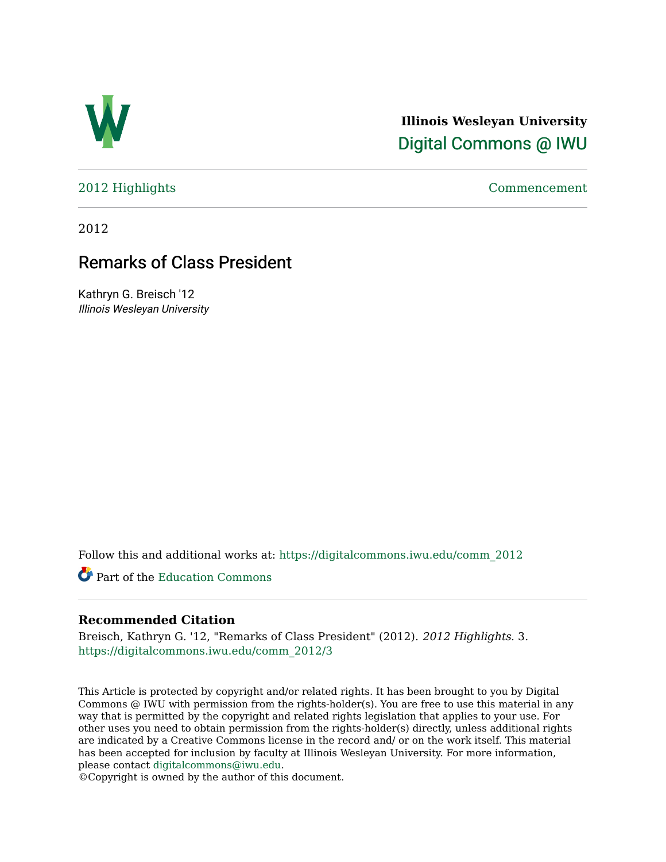

**Illinois Wesleyan University**  [Digital Commons @ IWU](https://digitalcommons.iwu.edu/) 

[2012 Highlights](https://digitalcommons.iwu.edu/comm_2012) [Commencement](https://digitalcommons.iwu.edu/commencement) 

2012

# Remarks of Class President

Kathryn G. Breisch '12 Illinois Wesleyan University

Follow this and additional works at: [https://digitalcommons.iwu.edu/comm\\_2012](https://digitalcommons.iwu.edu/comm_2012?utm_source=digitalcommons.iwu.edu%2Fcomm_2012%2F3&utm_medium=PDF&utm_campaign=PDFCoverPages) 

Part of the [Education Commons](http://network.bepress.com/hgg/discipline/784?utm_source=digitalcommons.iwu.edu%2Fcomm_2012%2F3&utm_medium=PDF&utm_campaign=PDFCoverPages)

### **Recommended Citation**

Breisch, Kathryn G. '12, "Remarks of Class President" (2012). 2012 Highlights. 3. [https://digitalcommons.iwu.edu/comm\\_2012/3](https://digitalcommons.iwu.edu/comm_2012/3?utm_source=digitalcommons.iwu.edu%2Fcomm_2012%2F3&utm_medium=PDF&utm_campaign=PDFCoverPages) 

This Article is protected by copyright and/or related rights. It has been brought to you by Digital Commons @ IWU with permission from the rights-holder(s). You are free to use this material in any way that is permitted by the copyright and related rights legislation that applies to your use. For other uses you need to obtain permission from the rights-holder(s) directly, unless additional rights are indicated by a Creative Commons license in the record and/ or on the work itself. This material has been accepted for inclusion by faculty at Illinois Wesleyan University. For more information, please contact [digitalcommons@iwu.edu.](mailto:digitalcommons@iwu.edu)

©Copyright is owned by the author of this document.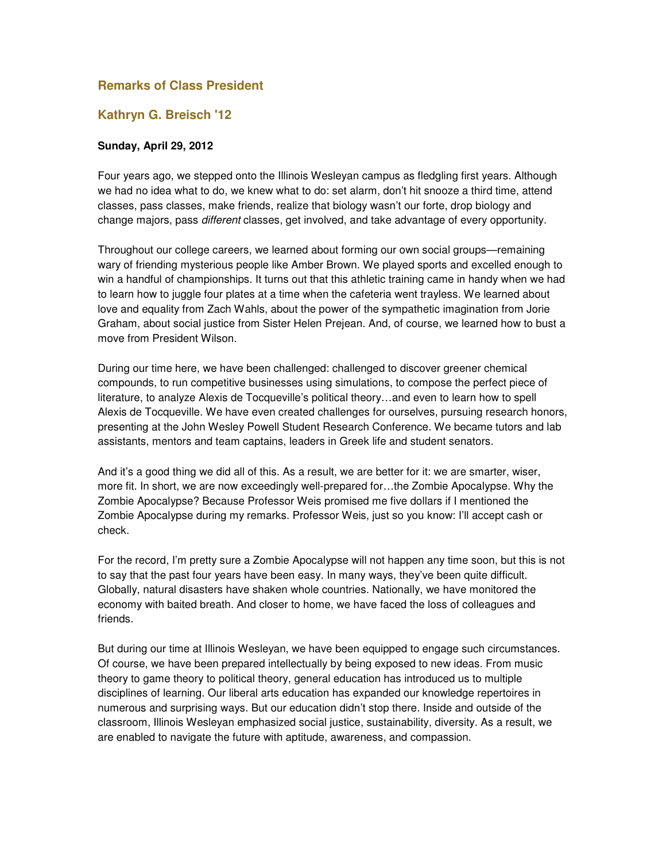# **Remarks of Class President**

## **Kathryn G. Breisch '12**

#### **Sunday, April 29, 2012**

Four years ago, we stepped onto the Illinois Wesleyan campus as fledgling first years. Although we had no idea what to do, we knew what to do: set alarm, don't hit snooze a third time, attend classes, pass classes, make friends, realize that biology wasn't our forte, drop biology and change majors, pass different classes, get involved, and take advantage of every opportunity.

Throughout our college careers, we learned about forming our own social groups—remaining wary of friending mysterious people like Amber Brown. We played sports and excelled enough to win a handful of championships. It turns out that this athletic training came in handy when we had to learn how to juggle four plates at a time when the cafeteria went trayless. We learned about love and equality from Zach Wahls, about the power of the sympathetic imagination from Jorie Graham, about social justice from Sister Helen Prejean. And, of course, we learned how to bust a move from President Wilson.

During our time here, we have been challenged: challenged to discover greener chemical compounds, to run competitive businesses using simulations, to compose the perfect piece of literature, to analyze Alexis de Tocqueville's political theory…and even to learn how to spell Alexis de Tocqueville. We have even created challenges for ourselves, pursuing research honors, presenting at the John Wesley Powell Student Research Conference. We became tutors and lab assistants, mentors and team captains, leaders in Greek life and student senators.

And it's a good thing we did all of this. As a result, we are better for it: we are smarter, wiser, more fit. In short, we are now exceedingly well-prepared for…the Zombie Apocalypse. Why the Zombie Apocalypse? Because Professor Weis promised me five dollars if I mentioned the Zombie Apocalypse during my remarks. Professor Weis, just so you know: I'll accept cash or check.

For the record, I'm pretty sure a Zombie Apocalypse will not happen any time soon, but this is not to say that the past four years have been easy. In many ways, they've been quite difficult. Globally, natural disasters have shaken whole countries. Nationally, we have monitored the economy with baited breath. And closer to home, we have faced the loss of colleagues and friends.

But during our time at Illinois Wesleyan, we have been equipped to engage such circumstances. Of course, we have been prepared intellectually by being exposed to new ideas. From music theory to game theory to political theory, general education has introduced us to multiple disciplines of learning. Our liberal arts education has expanded our knowledge repertoires in numerous and surprising ways. But our education didn't stop there. Inside and outside of the classroom, Illinois Wesleyan emphasized social justice, sustainability, diversity. As a result, we are enabled to navigate the future with aptitude, awareness, and compassion.